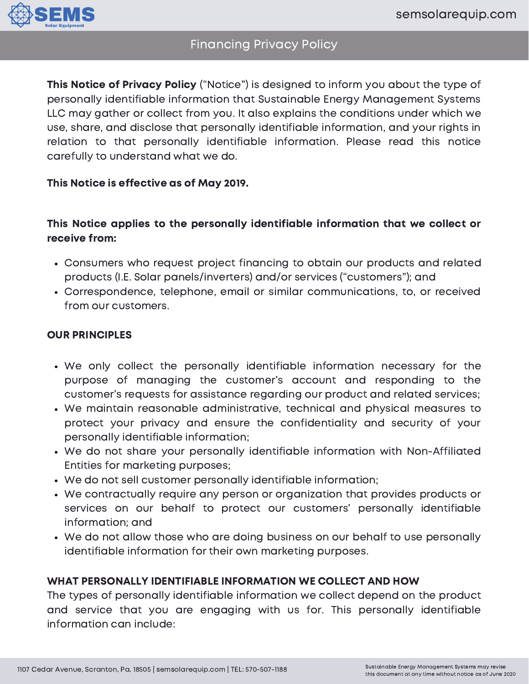

# Financing Privacy Policy

This Notice of Privacy Policy ("Notice") is designed to inform you about the type of personally identifiable information that Sustainable Energy Management Systems LLC may gather or collect from you. It also explains the conditions under which we use, share, and disclose that personally identifiable information, and your rights in relation to that personally identifiable information. Please read this notice carefully to understand what we do.

## This Notice is effective as of May 2019.

# This Notice applies to the personally identifiable information that we collect or receive from:

- Consumers who request project financing to obtain our products and related products (I.E. Solar panels/inverters) and/or services ("customers"); and
- Correspondence, telephone, email or similar communications, to, or received from our customers.

## OUR PRINCIPLES

- We only collect the personally identifiable information necessary for the purpose of managing the customer's account and responding to the customer's requests for assistance regarding our product and related services;
- We maintain reasonable administrative, technical and physical measures to protect your privacy and ensure the confidentiality and security of your personally identifiable information;
- We do not share your personally identifiable information with Non-Affiliated Entities for marketing purposes;
- We do not sell customer personally identifiable information;
- We contractually require any person or organization that provides products or services on our behalf to protect our customers' personally identifiable information; and
- We do not allow those who are doing business on our behalf to use personally identifiable information for their own marketing purposes.

## WHAT PERSONALLY IDENTIFIABLE INFORMATION WE COLLECT AND HOW

The types of personally identifiable information we collect depend on the product and service that you are engaging with us for. This personally identifiable information can include: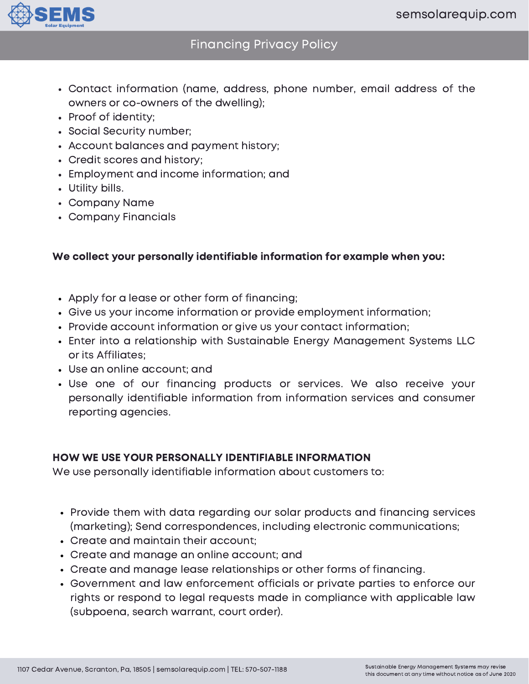

# Financing Privacy Policy

- Contact information (name, address, phone number, email address of the owners or co-owners of the dwelling);
- Proof of identity;
- Social Security number;
- Account balances and payment history;
- Credit scores and history;
- Employment and income information; and
- Utility bills.
- Company Name
- Company Financials

## We collect your personally identifiable information for example when you:

- Apply for a lease or other form of financing;
- Give us your income information or provide employment information;
- Provide account information or give us your contact information;
- Enter into a relationship with Sustainable Energy Management Systems LLC or its Affiliates;
- Use an online account; and
- Use one of our financing products or services. We also receive your personally identifiable information from information services and consumer reporting agencies.

#### HOW WE USE YOUR PERSONALLY IDENTIFIABLE INFORMATION

We use personally identifiable information about customers to:

- Provide them with data regarding our solar products and financing services (marketing); Send correspondences, including electronic communications;
- Create and maintain their account;
- Create and manage an online account; and
- Create and manage lease relationships or other forms of financing.
- Government and law enforcement officials or private parties to enforce our rights or respond to legal requests made in compliance with applicable law (subpoena, search warrant, court order).